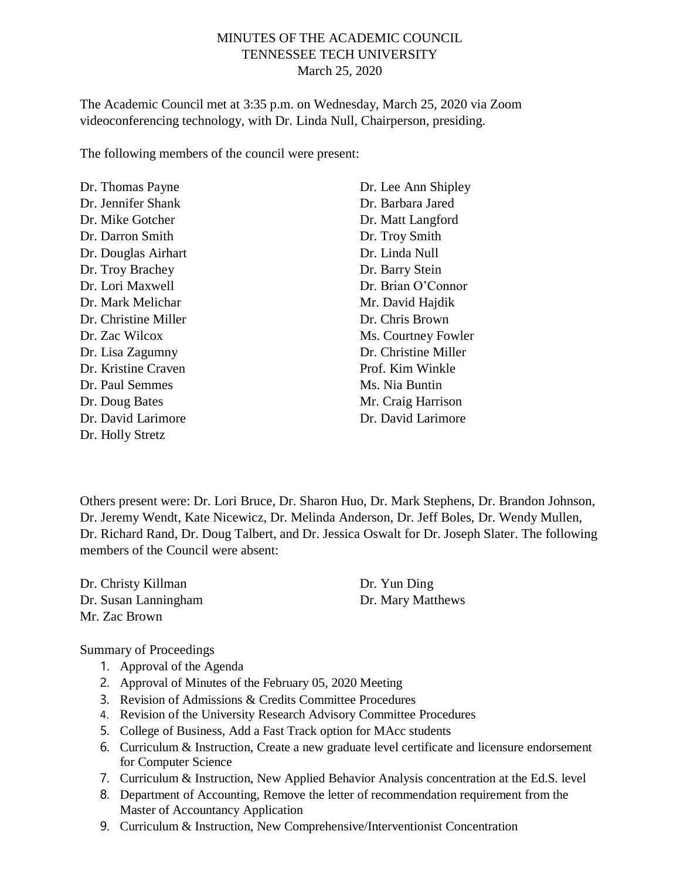## MINUTES OF THE ACADEMIC COUNCIL TENNESSEE TECH UNIVERSITY March 25, 2020

The Academic Council met at 3:35 p.m. on Wednesday, March 25, 2020 via Zoom videoconferencing technology, with Dr. Linda Null, Chairperson, presiding.

The following members of the council were present:

Dr. Thomas Payne Dr. Jennifer Shank Dr. Mike Gotcher Dr. Darron Smith Dr. Douglas Airhart Dr. Troy Brachey Dr. Lori Maxwell Dr. Mark Melichar Dr. Christine Miller Dr. Zac Wilcox Dr. Lisa Zagumny Dr. Kristine Craven Dr. Paul Semmes Dr. Doug Bates Dr. David Larimore Dr. Holly Stretz

Dr. Lee Ann Shipley Dr. Barbara Jared Dr. Matt Langford Dr. Troy Smith Dr. Linda Null Dr. Barry Stein Dr. Brian O'Connor Mr. David Hajdik Dr. Chris Brown Ms. Courtney Fowler Dr. Christine Miller Prof. Kim Winkle Ms. Nia Buntin Mr. Craig Harrison Dr. David Larimore

Others present were: Dr. Lori Bruce, Dr. Sharon Huo, Dr. Mark Stephens, Dr. Brandon Johnson, Dr. Jeremy Wendt, Kate Nicewicz, Dr. Melinda Anderson, Dr. Jeff Boles, Dr. Wendy Mullen, Dr. Richard Rand, Dr. Doug Talbert, and Dr. Jessica Oswalt for Dr. Joseph Slater. The following members of the Council were absent:

Dr. Christy Killman Dr. Yun Ding Dr. Susan Lanningham Mr. Zac Brown

Dr. Mary Matthews

Summary of Proceedings

- 1. Approval of the Agenda
- 2. Approval of Minutes of the February 05, 2020 Meeting
- 3. Revision of Admissions & Credits Committee Procedures
- 4. Revision of the University Research Advisory Committee Procedures
- 5. College of Business, Add a Fast Track option for MAcc students
- 6. Curriculum & Instruction, Create a new graduate level certificate and licensure endorsement for Computer Science
- 7. Curriculum & Instruction, New Applied Behavior Analysis concentration at the Ed.S. level
- 8. Department of Accounting, Remove the letter of recommendation requirement from the Master of Accountancy Application
- 9. Curriculum & Instruction, New Comprehensive/Interventionist Concentration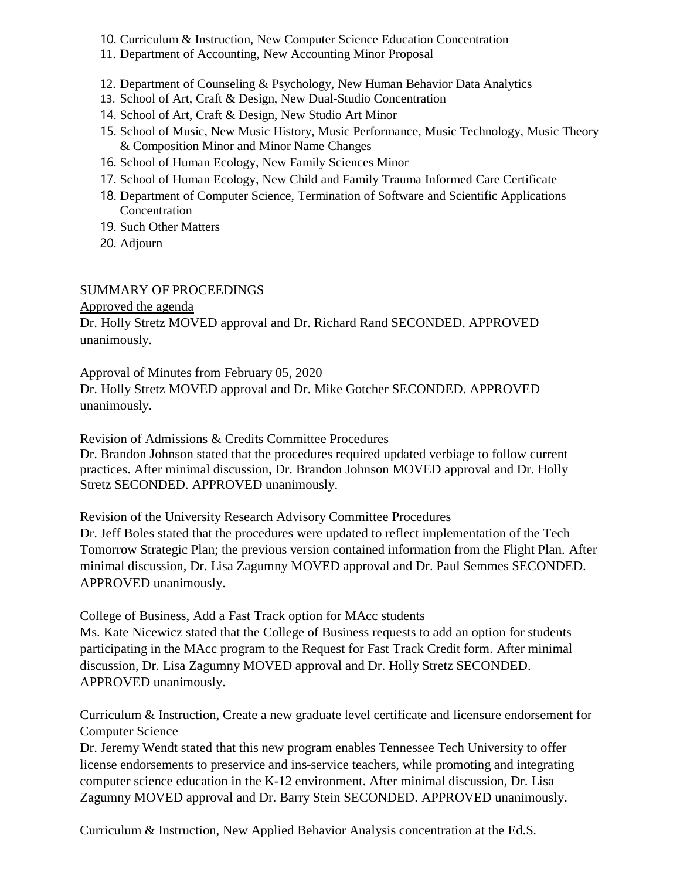- 10. Curriculum & Instruction, New Computer Science Education Concentration
- 11. Department of Accounting, New Accounting Minor Proposal
- 12. Department of Counseling & Psychology, New Human Behavior Data Analytics
- 13. School of Art, Craft & Design, New Dual-Studio Concentration
- 14. School of Art, Craft & Design, New Studio Art Minor
- 15. School of Music, New Music History, Music Performance, Music Technology, Music Theory & Composition Minor and Minor Name Changes
- 16. School of Human Ecology, New Family Sciences Minor
- 17. School of Human Ecology, New Child and Family Trauma Informed Care Certificate
- 18. Department of Computer Science, Termination of Software and Scientific Applications **Concentration**
- 19. Such Other Matters
- 20. Adjourn

## SUMMARY OF PROCEEDINGS

## Approved the agenda

Dr. Holly Stretz MOVED approval and Dr. Richard Rand SECONDED. APPROVED unanimously.

## Approval of Minutes from February 05, 2020

Dr. Holly Stretz MOVED approval and Dr. Mike Gotcher SECONDED. APPROVED unanimously.

## Revision of Admissions & Credits Committee Procedures

Dr. Brandon Johnson stated that the procedures required updated verbiage to follow current practices. After minimal discussion, Dr. Brandon Johnson MOVED approval and Dr. Holly Stretz SECONDED. APPROVED unanimously.

## Revision of the University Research Advisory Committee Procedures

Dr. Jeff Boles stated that the procedures were updated to reflect implementation of the Tech Tomorrow Strategic Plan; the previous version contained information from the Flight Plan. After minimal discussion, Dr. Lisa Zagumny MOVED approval and Dr. Paul Semmes SECONDED. APPROVED unanimously.

## College of Business, Add a Fast Track option for MAcc students

Ms. Kate Nicewicz stated that the College of Business requests to add an option for students participating in the MAcc program to the Request for Fast Track Credit form. After minimal discussion, Dr. Lisa Zagumny MOVED approval and Dr. Holly Stretz SECONDED. APPROVED unanimously.

# Curriculum & Instruction, Create a new graduate level certificate and licensure endorsement for Computer Science

Dr. Jeremy Wendt stated that this new program enables Tennessee Tech University to offer license endorsements to preservice and ins-service teachers, while promoting and integrating computer science education in the K-12 environment. After minimal discussion, Dr. Lisa Zagumny MOVED approval and Dr. Barry Stein SECONDED. APPROVED unanimously.

# Curriculum & Instruction, New Applied Behavior Analysis concentration at the Ed.S.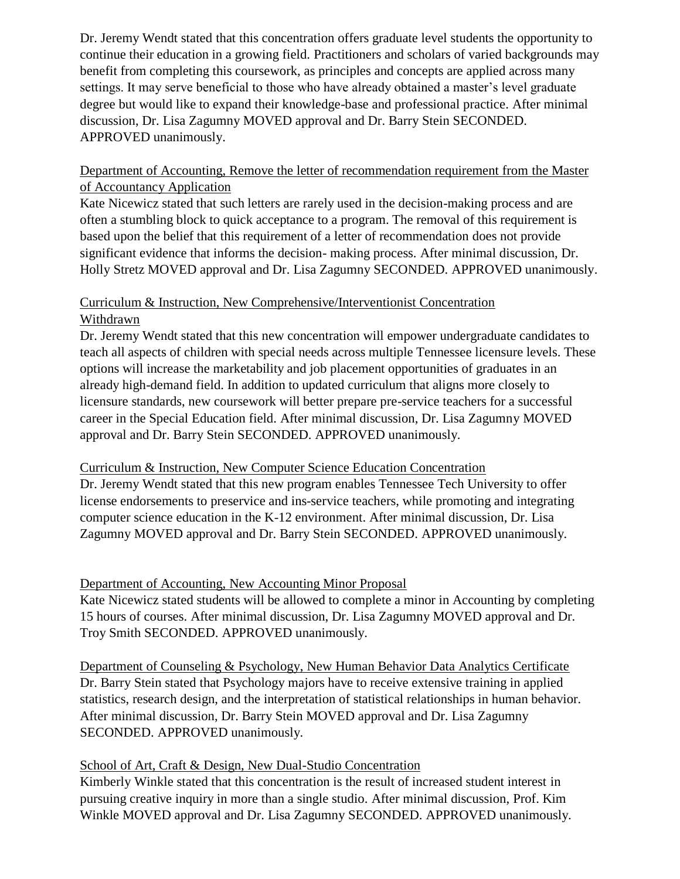Dr. Jeremy Wendt stated that this concentration offers graduate level students the opportunity to continue their education in a growing field. Practitioners and scholars of varied backgrounds may benefit from completing this coursework, as principles and concepts are applied across many settings. It may serve beneficial to those who have already obtained a master's level graduate degree but would like to expand their knowledge-base and professional practice. After minimal discussion, Dr. Lisa Zagumny MOVED approval and Dr. Barry Stein SECONDED. APPROVED unanimously.

## Department of Accounting, Remove the letter of recommendation requirement from the Master of Accountancy Application

Kate Nicewicz stated that such letters are rarely used in the decision-making process and are often a stumbling block to quick acceptance to a program. The removal of this requirement is based upon the belief that this requirement of a letter of recommendation does not provide significant evidence that informs the decision- making process. After minimal discussion, Dr. Holly Stretz MOVED approval and Dr. Lisa Zagumny SECONDED. APPROVED unanimously.

## Curriculum & Instruction, New Comprehensive/Interventionist Concentration Withdrawn

Dr. Jeremy Wendt stated that this new concentration will empower undergraduate candidates to teach all aspects of children with special needs across multiple Tennessee licensure levels. These options will increase the marketability and job placement opportunities of graduates in an already high-demand field. In addition to updated curriculum that aligns more closely to licensure standards, new coursework will better prepare pre-service teachers for a successful career in the Special Education field. After minimal discussion, Dr. Lisa Zagumny MOVED approval and Dr. Barry Stein SECONDED. APPROVED unanimously.

## Curriculum & Instruction, New Computer Science Education Concentration

Dr. Jeremy Wendt stated that this new program enables Tennessee Tech University to offer license endorsements to preservice and ins-service teachers, while promoting and integrating computer science education in the K-12 environment. After minimal discussion, Dr. Lisa Zagumny MOVED approval and Dr. Barry Stein SECONDED. APPROVED unanimously.

## Department of Accounting, New Accounting Minor Proposal

Kate Nicewicz stated students will be allowed to complete a minor in Accounting by completing 15 hours of courses. After minimal discussion, Dr. Lisa Zagumny MOVED approval and Dr. Troy Smith SECONDED. APPROVED unanimously.

Department of Counseling & Psychology, New Human Behavior Data Analytics Certificate Dr. Barry Stein stated that Psychology majors have to receive extensive training in applied statistics, research design, and the interpretation of statistical relationships in human behavior. After minimal discussion, Dr. Barry Stein MOVED approval and Dr. Lisa Zagumny SECONDED. APPROVED unanimously.

# School of Art, Craft & Design, New Dual-Studio Concentration

Kimberly Winkle stated that this concentration is the result of increased student interest in pursuing creative inquiry in more than a single studio. After minimal discussion, Prof. Kim Winkle MOVED approval and Dr. Lisa Zagumny SECONDED. APPROVED unanimously.